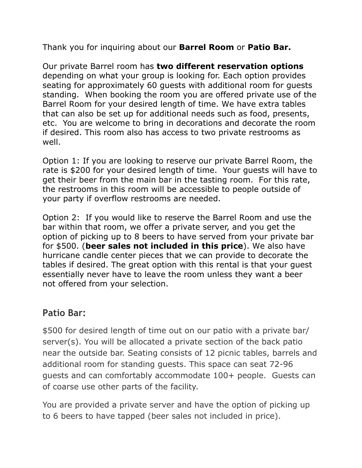Thank you for inquiring about our **Barrel Room** or **Patio Bar.**

Our private Barrel room has **two different reservation options**  depending on what your group is looking for. Each option provides seating for approximately 60 guests with additional room for guests standing. When booking the room you are offered private use of the Barrel Room for your desired length of time. We have extra tables that can also be set up for additional needs such as food, presents, etc. You are welcome to bring in decorations and decorate the room if desired. This room also has access to two private restrooms as well.

Option 1: If you are looking to reserve our private Barrel Room, the rate is \$200 for your desired length of time. Your guests will have to get their beer from the main bar in the tasting room. For this rate, the restrooms in this room will be accessible to people outside of your party if overflow restrooms are needed.

Option 2: If you would like to reserve the Barrel Room and use the bar within that room, we offer a private server, and you get the option of picking up to 8 beers to have served from your private bar for \$500. (**beer sales not included in this price**). We also have hurricane candle center pieces that we can provide to decorate the tables if desired. The great option with this rental is that your guest essentially never have to leave the room unless they want a beer not offered from your selection.

## **Patio Bar:**

\$500 for desired length of time out on our patio with a private bar/ server(s). You will be allocated a private section of the back patio near the outside bar. Seating consists of 12 picnic tables, barrels and additional room for standing guests. This space can seat 72-96 guests and can comfortably accommodate 100+ people. Guests can of coarse use other parts of the facility.

You are provided a private server and have the option of picking up to 6 beers to have tapped (beer sales not included in price).